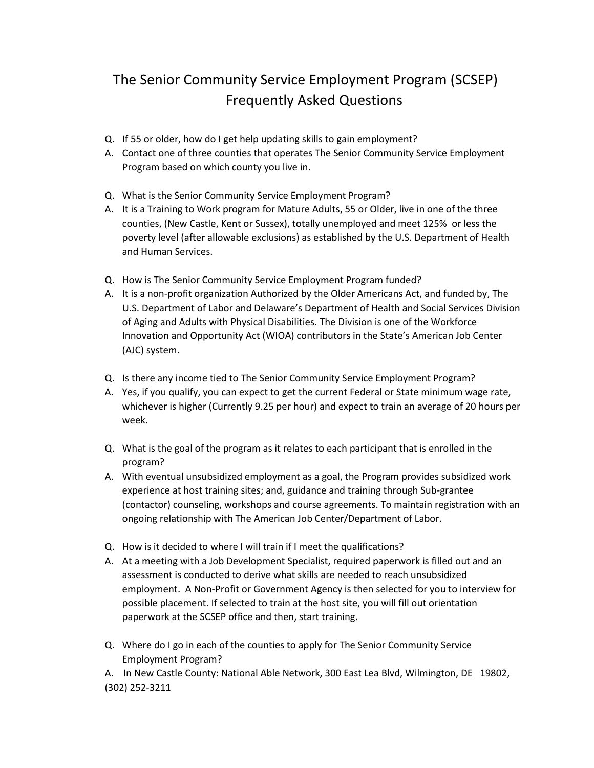## The Senior Community Service Employment Program (SCSEP) Frequently Asked Questions

- Q. If 55 or older, how do I get help updating skills to gain employment?
- A. Contact one of three counties that operates The Senior Community Service Employment Program based on which county you live in.
- Q. What is the Senior Community Service Employment Program?
- A. It is a Training to Work program for Mature Adults, 55 or Older, live in one of the three counties, (New Castle, Kent or Sussex), totally unemployed and meet 125% or less the poverty level (after allowable exclusions) as established by the U.S. Department of Health and Human Services.
- Q. How is The Senior Community Service Employment Program funded?
- A. It is a non-profit organization Authorized by the Older Americans Act, and funded by, The U.S. Department of Labor and Delaware's Department of Health and Social Services Division of Aging and Adults with Physical Disabilities. The Division is one of the Workforce Innovation and Opportunity Act (WIOA) contributors in the State's American Job Center (AJC) system.
- Q. Is there any income tied to The Senior Community Service Employment Program?
- A. Yes, if you qualify, you can expect to get the current Federal or State minimum wage rate, whichever is higher (Currently 9.25 per hour) and expect to train an average of 20 hours per week.
- Q. What is the goal of the program as it relates to each participant that is enrolled in the program?
- A. With eventual unsubsidized employment as a goal, the Program provides subsidized work experience at host training sites; and, guidance and training through Sub-grantee (contactor) counseling, workshops and course agreements. To maintain registration with an ongoing relationship with The American Job Center/Department of Labor.
- Q. How is it decided to where I will train if I meet the qualifications?
- A. At a meeting with a Job Development Specialist, required paperwork is filled out and an assessment is conducted to derive what skills are needed to reach unsubsidized employment. A Non-Profit or Government Agency is then selected for you to interview for possible placement. If selected to train at the host site, you will fill out orientation paperwork at the SCSEP office and then, start training.
- Q. Where do I go in each of the counties to apply for The Senior Community Service Employment Program?

A. In New Castle County: National Able Network, 300 East Lea Blvd, Wilmington, DE 19802, (302) 252-3211